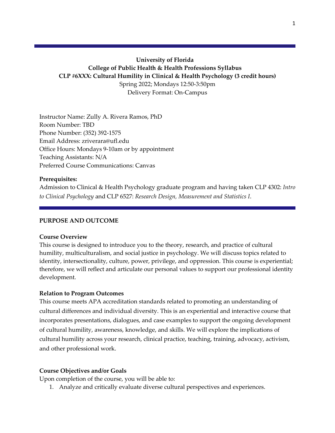# **University of Florida College of Public Health & Health Professions Syllabus CLP #6XXX: Cultural Humility in Clinical & Health Psychology (3 credit hours)** Spring 2022; Mondays 12:50-3:50pm Delivery Format: On-Campus

Instructor Name: Zully A. Rivera Ramos, PhD Room Number: TBD Phone Number: (352) 392-1575 Email Address: zriverara@ufl.edu Office Hours: Mondays 9-10am or by appointment Teaching Assistants: N/A Preferred Course Communications: Canvas

### **Prerequisites:**

Admission to Clinical & Health Psychology graduate program and having taken CLP 4302: *Intro to Clinical Psychology* and CLP 6527: *Research Design, Measurement and Statistics I*.

### **PURPOSE AND OUTCOME**

#### **Course Overview**

This course is designed to introduce you to the theory, research, and practice of cultural humility, multiculturalism, and social justice in psychology. We will discuss topics related to identity, intersectionality, culture, power, privilege, and oppression. This course is experiential; therefore, we will reflect and articulate our personal values to support our professional identity development.

#### **Relation to Program Outcomes**

This course meets APA accreditation standards related to promoting an understanding of cultural differences and individual diversity. This is an experiential and interactive course that incorporates presentations, dialogues, and case examples to support the ongoing development of cultural humility, awareness, knowledge, and skills. We will explore the implications of cultural humility across your research, clinical practice, teaching, training, advocacy, activism, and other professional work.

#### **Course Objectives and/or Goals**

Upon completion of the course, you will be able to:

1. Analyze and critically evaluate diverse cultural perspectives and experiences.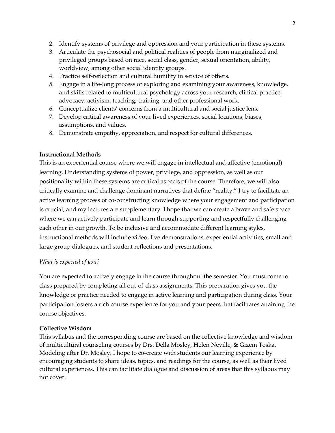- 2. Identify systems of privilege and oppression and your participation in these systems.
- 3. Articulate the psychosocial and political realities of people from marginalized and privileged groups based on race, social class, gender, sexual orientation, ability, worldview, among other social identity groups.
- 4. Practice self-reflection and cultural humility in service of others.
- 5. Engage in a life-long process of exploring and examining your awareness, knowledge, and skills related to multicultural psychology across your research, clinical practice, advocacy, activism, teaching, training, and other professional work.
- 6. Conceptualize clients' concerns from a multicultural and social justice lens.
- 7. Develop critical awareness of your lived experiences, social locations, biases, assumptions, and values.
- 8. Demonstrate empathy, appreciation, and respect for cultural differences.

## **Instructional Methods**

This is an experiential course where we will engage in intellectual and affective (emotional) learning. Understanding systems of power, privilege, and oppression, as well as our positionality within these systems are critical aspects of the course. Therefore, we will also critically examine and challenge dominant narratives that define "reality." I try to facilitate an active learning process of co-constructing knowledge where your engagement and participation is crucial, and my lectures are supplementary. I hope that we can create a brave and safe space where we can actively participate and learn through supporting and respectfully challenging each other in our growth. To be inclusive and accommodate different learning styles, instructional methods will include video, live demonstrations, experiential activities, small and large group dialogues, and student reflections and presentations.

## *What is expected of you?*

You are expected to actively engage in the course throughout the semester. You must come to class prepared by completing all out-of-class assignments. This preparation gives you the knowledge or practice needed to engage in active learning and participation during class. Your participation fosters a rich course experience for you and your peers that facilitates attaining the course objectives.

## **Collective Wisdom**

This syllabus and the corresponding course are based on the collective knowledge and wisdom of multicultural counseling courses by Drs. Della Mosley, Helen Neville, & Gizem Toska. Modeling after Dr. Mosley, I hope to co-create with students our learning experience by encouraging students to share ideas, topics, and readings for the course, as well as their lived cultural experiences. This can facilitate dialogue and discussion of areas that this syllabus may not cover.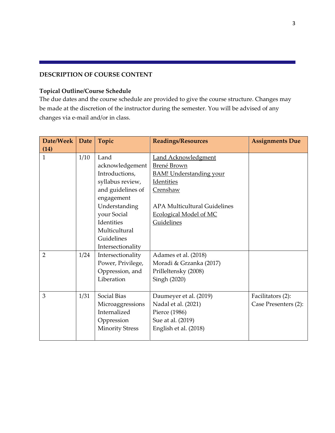### **DESCRIPTION OF COURSE CONTENT**

### **Topical Outline/Course Schedule**

The due dates and the course schedule are provided to give the course structure. Changes may be made at the discretion of the instructor during the semester. You will be advised of any changes via e-mail and/or in class.

| Date/Week      | <b>Date</b> | Topic                  | <b>Readings/Resources</b>           | <b>Assignments Due</b> |
|----------------|-------------|------------------------|-------------------------------------|------------------------|
| (14)           |             |                        |                                     |                        |
| $\mathbf{1}$   | 1/10        | Land                   | <b>Land Acknowledgment</b>          |                        |
|                |             | acknowledgement        | Brené Brown                         |                        |
|                |             | Introductions,         | <b>BAM!</b> Understanding your      |                        |
|                |             | syllabus review,       | Identities                          |                        |
|                |             | and guidelines of      | Crenshaw                            |                        |
|                |             | engagement             |                                     |                        |
|                |             | Understanding          | <b>APA Multicultural Guidelines</b> |                        |
|                |             | your Social            | <b>Ecological Model of MC</b>       |                        |
|                |             | Identities             | Guidelines                          |                        |
|                |             | Multicultural          |                                     |                        |
|                |             | Guidelines             |                                     |                        |
|                |             | Intersectionality      |                                     |                        |
| $\overline{2}$ | 1/24        | Intersectionality      | Adames et al. (2018)                |                        |
|                |             | Power, Privilege,      | Moradi & Grzanka (2017)             |                        |
|                |             | Oppression, and        | Prilleltensky (2008)                |                        |
|                |             | Liberation             | Singh (2020)                        |                        |
|                |             |                        |                                     |                        |
| 3              | 1/31        | <b>Social Bias</b>     | Daumeyer et al. (2019)              | Facilitators (2):      |
|                |             | Microaggressions       | Nadal et al. (2021)                 | Case Presenters (2):   |
|                |             | Internalized           | Pierce (1986)                       |                        |
|                |             | Oppression             | Sue at al. (2019)                   |                        |
|                |             | <b>Minority Stress</b> | English et al. (2018)               |                        |
|                |             |                        |                                     |                        |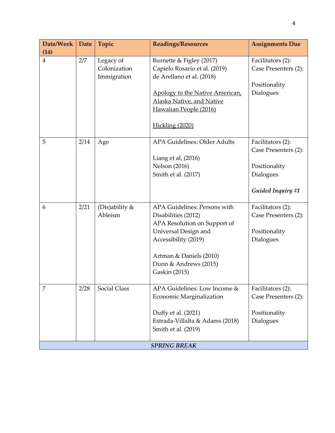| Date/Week           | Date | Topic                                    | <b>Readings/Resources</b>                                                                                                                                                                                | <b>Assignments Due</b>                                                                       |
|---------------------|------|------------------------------------------|----------------------------------------------------------------------------------------------------------------------------------------------------------------------------------------------------------|----------------------------------------------------------------------------------------------|
| (14)                |      |                                          |                                                                                                                                                                                                          |                                                                                              |
| $\overline{4}$      | 2/7  | Legacy of<br>Colonization<br>Immigration | Burnette & Figley (2017)<br>Capielo Rosario et al. (2019)<br>de Arellano et al. (2018)<br>Apology to the Native American,<br>Alaska Native, and Native<br>Hawaiian People (2016)                         | Facilitators (2):<br>Case Presenters (2):<br>Positionality<br>Dialogues                      |
|                     |      |                                          | Hickling (2020)                                                                                                                                                                                          |                                                                                              |
| 5                   | 2/14 | Age                                      | <b>APA Guidelines: Older Adults</b><br>Liang et al. $(2016)$<br><b>Nelson</b> (2016)<br>Smith et al. (2017)                                                                                              | Facilitators (2):<br>Case Presenters (2):<br>Positionality<br>Dialogues<br>Guided Inquiry #1 |
|                     |      |                                          |                                                                                                                                                                                                          |                                                                                              |
| 6                   | 2/21 | (Dis)ability &<br>Ableism                | APA Guidelines: Persons with<br>Disabilities (2012)<br>APA Resolution on Support of<br>Universal Design and<br>Accessibility (2019)<br>Artman & Daniels (2010)<br>Dunn & Andrews (2015)<br>Gaskin (2015) | Facilitators (2):<br>Case Presenters (2):<br>Positionality<br>Dialogues                      |
| 7                   | 2/28 | <b>Social Class</b>                      | APA Guidelines: Low Income &<br>Economic Marginalization<br>Duffy et al. (2021)<br>Estrada-Villalta & Adams (2018)<br>Smith et al. (2019)                                                                | Facilitators (2):<br>Case Presenters (2):<br>Positionality<br>Dialogues                      |
| <b>SPRING BREAK</b> |      |                                          |                                                                                                                                                                                                          |                                                                                              |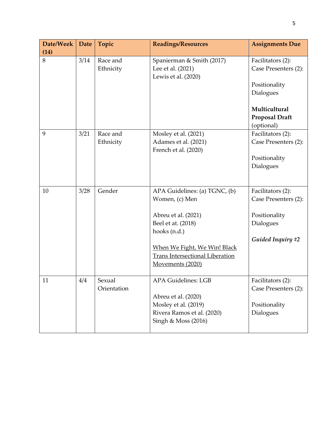| Date/Week<br>(14) | <b>Date</b> | Topic                 | <b>Readings/Resources</b>                                                                                                                                                                                  | <b>Assignments Due</b>                                                                       |
|-------------------|-------------|-----------------------|------------------------------------------------------------------------------------------------------------------------------------------------------------------------------------------------------------|----------------------------------------------------------------------------------------------|
| 8                 | 3/14        | Race and<br>Ethnicity | Spanierman & Smith (2017)<br>Lee et al. (2021)<br>Lewis et al. (2020)                                                                                                                                      | Facilitators (2):<br>Case Presenters (2):<br>Positionality<br>Dialogues                      |
|                   |             |                       |                                                                                                                                                                                                            | Multicultural<br><b>Proposal Draft</b><br>(optional)                                         |
| 9                 | 3/21        | Race and<br>Ethnicity | Mosley et al. (2021)<br>Adames et al. (2021)<br>French et al. (2020)                                                                                                                                       | Facilitators (2):<br>Case Presenters (2):<br>Positionality<br>Dialogues                      |
| 10                | 3/28        | Gender                | APA Guidelines: (a) TGNC, (b)<br>Women, (c) Men<br>Abreu et al. (2021)<br>Beel et at. (2018)<br>hooks (n.d.)<br>When We Fight, We Win! Black<br><b>Trans Intersectional Liberation</b><br>Movements (2020) | Facilitators (2):<br>Case Presenters (2):<br>Positionality<br>Dialogues<br>Guided Inquiry #2 |
| 11                | 4/4         | Sexual<br>Orientation | <b>APA Guidelines: LGB</b><br>Abreu et al. (2020)<br>Mosley et al. (2019)<br>Rivera Ramos et al. (2020)<br>Singh & Moss (2016)                                                                             | Facilitators (2):<br>Case Presenters (2):<br>Positionality<br>Dialogues                      |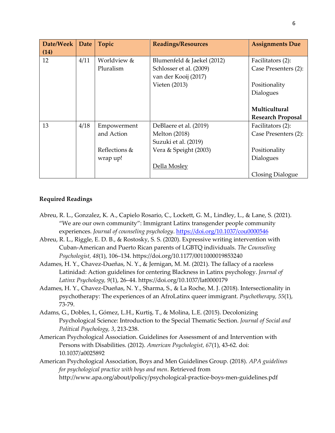| Date/Week | Date | Topic         | <b>Readings/Resources</b>  | <b>Assignments Due</b>   |
|-----------|------|---------------|----------------------------|--------------------------|
| (14)      |      |               |                            |                          |
| 12        | 4/11 | Worldview &   | Blumenfeld & Jaekel (2012) | Facilitators (2):        |
|           |      | Pluralism     | Schlosser et al. (2009)    | Case Presenters (2):     |
|           |      |               | van der Kooij (2017)       |                          |
|           |      |               | Vieten (2013)              | Positionality            |
|           |      |               |                            | Dialogues                |
|           |      |               |                            |                          |
|           |      |               |                            | Multicultural            |
|           |      |               |                            | <b>Research Proposal</b> |
| 13        | 4/18 | Empowerment   | DeBlaere et al. (2019)     | Facilitators (2):        |
|           |      | and Action    | <b>Melton</b> (2018)       | Case Presenters (2):     |
|           |      |               | Suzuki et al. (2019)       |                          |
|           |      | Reflections & | Vera & Speight (2003)      | Positionality            |
|           |      | wrap up!      |                            | Dialogues                |
|           |      |               | Della Mosley               |                          |
|           |      |               |                            | <b>Closing Dialogue</b>  |

# **Required Readings**

- Abreu, R. L., Gonzalez, K. A., Capielo Rosario, C., Lockett, G. M., Lindley, L., & Lane, S. (2021). "We are our own community": Immigrant Latinx transgender people community experiences. *Journal of counseling psychology*. [https://doi.org/10.1037/cou0000546](https://psycnet.apa.org/doi/10.1037/cou0000546)
- Abreu, R. L., Riggle, E. D. B., & Rostosky, S. S. (2020). Expressive writing intervention with Cuban-American and Puerto Rican parents of LGBTQ individuals. *The Counseling Psychologist, 48*(1), 106–134. https://doi.org/10.1177/0011000019853240
- Adames, H. Y., Chavez-Dueñas, N. Y., & Jernigan, M. M. (2021). The fallacy of a raceless Latinidad: Action guidelines for centering Blackness in Latinx psychology. *Journal of Latinx Psychology, 9*(1), 26–44. https://doi.org/10.1037/lat0000179
- Adames, H. Y., Chavez-Dueñas, N. Y., Sharma, S., & La Roche, M. J. (2018). Intersectionality in psychotherapy: The experiences of an AfroLatinx queer immigrant. *Psychotherapy, 55*(1), 73-79.
- Adams, G., Dobles, I., Gómez, L.H., Kurtiş, T., & Molina, L.E. (2015). Decolonizing Psychological Science: Introduction to the Special Thematic Section. *Journal of Social and Political Psychology, 3*, 213-238.
- American Psychological Association. Guidelines for Assessment of and Intervention with Persons with Disabilities. (2012). *American Psychologist, 67*(1), 43-62. doi: 10.1037/a0025892
- American Psychological Association, Boys and Men Guidelines Group. (2018). *APA guidelines for psychological practice with boys and men*. Retrieved from http://www.apa.org/about/policy/psychological-practice-boys-men-guidelines.pdf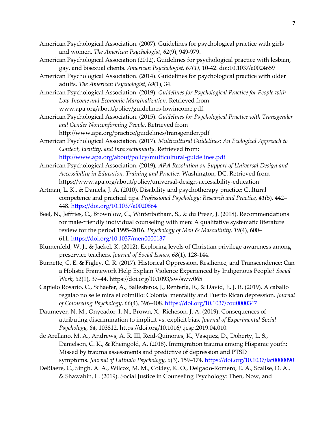- American Psychological Association. (2007). Guidelines for psychological practice with girls and women. *The American Psychologist*, *62*(9), 949-979.
- American Psychological Association (2012). Guidelines for psychological practice with lesbian, gay, and bisexual clients. *American Psychologist, 67(1),* 10-42. doi:10.1037/a0024659
- American Psychological Association. (2014). Guidelines for psychological practice with older adults. *The American Psychologist*, *69*(1), 34.
- American Psychological Association. (2019). *Guidelines for Psychological Practice for People with Low-Income and Economic Marginalization*. Retrieved from www.apa.org/about/policy/guidelines-lowincome.pdf.
- American Psychological Association. (2015). *Guidelines for Psychological Practice with Transgender and Gender Nonconforming People*. Retrieved from http://www.apa.org/practice/guidelines/transgender.pdf
- American Psychological Association. (2017). *Multicultural Guidelines: An Ecological Approach to Context, Identity, and Intersectionality*. Retrieved from: <http://www.apa.org/about/policy/multicultural-guidelines.pdf>
- American Psychological Association. (2019), *APA Resolution on Support of Universal Design and Accessibility in Education, Training and Practice*. Washington, DC. Retrieved from https://www.apa.org/about/policy/universal-design-accessibility-education
- Artman, L. K., & Daniels, J. A. (2010). Disability and psychotherapy practice: Cultural competence and practical tips. *Professional Psychology: Research and Practice, 41*(5), 442– 448. [https://doi.org/10.1037/a0020864](https://psycnet.apa.org/doi/10.1037/a0020864)
- Beel, N., Jeffries, C., Brownlow, C., Winterbotham, S., & du Preez, J. (2018). Recommendations for male-friendly individual counseling with men: A qualitative systematic literature review for the period 1995–2016. *Psychology of Men & Masculinity, 19*(4), 600– 611. [https://doi.org/10.1037/men0000137](https://psycnet.apa.org/doi/10.1037/men0000137)
- Blumenfeld, W. J., & Jaekel, K. (2012). Exploring levels of Christian privilege awareness among preservice teachers. *Journal of Social Issues*, *68*(1), 128-144.
- Burnette, C. E. & Figley, C. R. (2017). Historical Oppression, Resilience, and Transcendence: Can a Holistic Framework Help Explain Violence Experienced by Indigenous People? *Social Work*, *62*(1), 37–44. https://doi.org/10.1093/sw/sww065
- Capielo Rosario, C., Schaefer, A., Ballesteros, J., Rentería, R., & David, E. J. R. (2019). A caballo regalao no se le mira el colmillo: Colonial mentality and Puerto Rican depression. *Journal of Counseling Psychology, 66*(4), 396–408. [https://doi.org/10.1037/cou0000347](https://psycnet.apa.org/doi/10.1037/cou0000347)
- Daumeyer, N. M., Onyeador, I. N., Brown, X., Richeson, J. A. (2019). Consequences of attributing discrimination to implicit vs. explicit bias. *Journal of Experimental Social Psychology, 84*, 103812. https://doi.org/10.1016/j.jesp.2019.04.010.
- de Arellano, M. A., Andrews, A. R. III, Reid-Quiñones, K., Vasquez, D., Doherty, L. S., Danielson, C. K., & Rheingold, A. (2018). Immigration trauma among Hispanic youth: Missed by trauma assessments and predictive of depression and PTSD symptoms. *Journal of Latina/o Psychology, 6*(3), 159–174. [https://doi.org/10.1037/lat0000090](https://psycnet.apa.org/doi/10.1037/lat0000090)
- DeBlaere, C., Singh, A. A., Wilcox, M. M., Cokley, K. O., Delgado-Romero, E. A., Scalise, D. A., & Shawahin, L. (2019). Social Justice in Counseling Psychology: Then, Now, and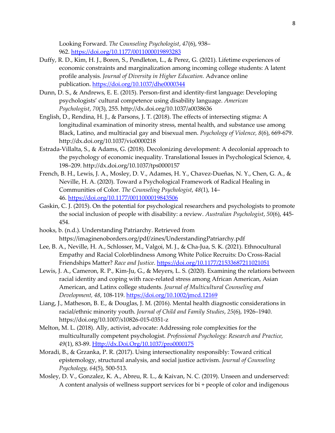Looking Forward. *The Counseling Psychologist*, *47*(6), 938– 962. <https://doi.org/10.1177/0011000019893283>

- Duffy, R. D., Kim, H. J., Boren, S., Pendleton, L., & Perez, G. (2021). Lifetime experiences of economic constraints and marginalization among incoming college students: A latent profile analysis. *Journal of Diversity in Higher Education.* Advance online publication. [https://doi.org/10.1037/dhe0000344](https://psycnet.apa.org/doi/10.1037/dhe0000344)
- Dunn, D. S., & Andrews, E. E. (2015). Person-first and identity-first language: Developing psychologists' cultural competence using disability language. *American Psychologist*, *70*(3), 255. http://dx.doi.org/10.1037/a0038636
- English, D., Rendina, H. J., & Parsons, J. T. (2018). The effects of intersecting stigma: A longitudinal examination of minority stress, mental health, and substance use among Black, Latino, and multiracial gay and bisexual men. *Psychology of Violence, 8*(6), 669-679. http://dx.doi.org/10.1037/vio0000218
- Estrada-Villalta, S., & Adams, G. (2018). Decolonizing development: A decolonial approach to the psychology of economic inequality. Translational Issues in Psychological Science, 4, 198–209. http://dx.doi.org/10.1037/tps0000157
- French, B. H., Lewis, J. A., Mosley, D. V., Adames, H. Y., Chavez-Dueñas, N. Y., Chen, G. A., & Neville, H. A. (2020). Toward a Psychological Framework of Radical Healing in Communities of Color. *The Counseling Psychologist*, *48*(1), 14– 46. <https://doi.org/10.1177/0011000019843506>
- Gaskin, C. J. (2015). On the potential for psychological researchers and psychologists to promote the social inclusion of people with disability: a review. *Australian Psychologist*, *50*(6), 445- 454.
- hooks, b. (n.d.). Understanding Patriarchy. Retrieved from https://imaginenoborders.org/pdf/zines/UnderstandingPatriarchy.pdf
- Lee, B. A., Neville, H. A., Schlosser, M., Valgoi, M. J., & Cha-Jua, S. K. (2021). Ethnocultural Empathy and Racial Colorblindness Among White Police Recruits: Do Cross-Racial Friendships Matter? *Race and Justice*. <https://doi.org/10.1177/21533687211021051>
- Lewis, J. A., Cameron, R. P., Kim-Ju, G., & Meyers, L. S. (2020). Examining the relations between racial identity and coping with race-related stress among African American, Asian American, and Latinx college students*. Journal of Multicultural Counseling and Development, 48*, 108-119. <https://doi.org/10.1002/jmcd.12169>
- Liang, J., Matheson, B. E., & Douglas, J. M. (2016). Mental health diagnostic considerations in racial/ethnic minority youth. *Journal of Child and Family Studies*, *25*(6), 1926–1940. https://doi.org/10.1007/s10826-015-0351-z
- Melton, M. L. (2018). Ally, activist, advocate: Addressing role complexities for the multiculturally competent psychologist. *Professional Psychology: Research and Practice, 49*(1), 83-89. [Http://dx.Doi.Org/10.1037/pro0000175](http://dx.doi.org/10.1037/pro0000175)
- Moradi, B., & Grzanka, P. R. (2017). Using intersectionality responsibly: Toward critical epistemology, structural analysis, and social justice activism. *Journal of Counseling Psychology, 64*(5), 500-513.
- Mosley, D. V., Gonzalez, K. A., Abreu, R. L., & Kaivan, N. C. (2019). Unseen and underserved: A content analysis of wellness support services for bi + people of color and indigenous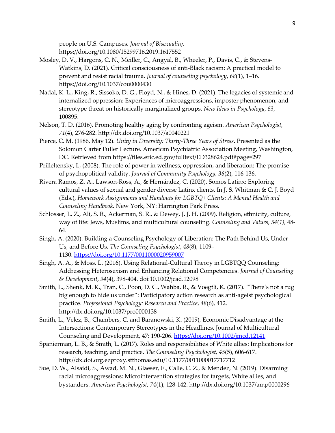people on U.S. Campuses. *Journal of Bisexuality*. https://doi.org/10.1080/15299716.2019.1617552

- Mosley, D. V., Hargons, C. N., Meiller, C., Angyal, B., Wheeler, P., Davis, C., & Stevens-Watkins, D. (2021). Critical consciousness of anti-Black racism: A practical model to prevent and resist racial trauma. *Journal of counseling psychology*, *68*(1), 1–16. https://doi.org/10.1037/cou0000430
- Nadal, K. L., King, R., Sissoko, D. G., Floyd, N., & Hines, D. (2021). The legacies of systemic and internalized oppression: Experiences of microaggressions, imposter phenomenon, and stereotype threat on historically marginalized groups. *New Ideas in Psychology*, *63*, 100895.
- Nelson, T. D. (2016). Promoting healthy aging by confronting ageism. *American Psychologist, 71*(4), 276-282. http://dx.doi.org/10.1037/a0040221
- Pierce, C. M. (1986, May 12). *Unity in Diversity: Thirty-Three Years of Stress*. Presented as the Solomon Carter Fuller Lecture. American Psychiatric Association Meeting, Washington, DC. Retrieved from https://files.eric.ed.gov/fulltext/ED328624.pdf#page=297
- Prilleltensky, I., (2008). The role of power in wellness, oppression, and liberation: The promise of psychopolitical validity. *Journal of Community Psychology, 36*(2), 116-136.
- Rivera Ramos, Z. A., Lawson-Ross, A., & Hernández, C. (2020). Somos Latinx: Exploring cultural values of sexual and gender diverse Latinx clients. In J. S. Whitman & C. J. Boyd (Eds.), *Homework Assignments and Handouts for LGBTQ+ Clients: A Mental Health and Counseling Handbook.* New York, NY: Harrington Park Press.
- Schlosser, L. Z., Ali, S. R., Ackerman, S. R., & Dewey, J. J. H. (2009). Religion, ethnicity, culture, way of life: Jews, Muslims, and multicultural counseling. *Counseling and Values, 54(1),* 48- 64.
- Singh, A. (2020). Building a Counseling Psychology of Liberation: The Path Behind Us, Under Us, and Before Us. *The Counseling Psychologist*, *48*(8), 1109– 1130. <https://doi.org/10.1177/0011000020959007>
- Singh, A. A., & Moss, L. (2016). Using Relational-Cultural Theory in LGBTQQ Counseling: Addressing Heterosexism and Enhancing Relational Competencies. *Journal of Counseling & Development*, *94*(4), 398-404. doi:10.1002/jcad.12098
- Smith, L., Shenk, M. K., Tran, C., Poon, D. C., Wahba, R., & Voegtli, K. (2017). "There's not a rug big enough to hide us under": Participatory action research as anti-ageist psychological practice. *Professional Psychology: Research and Practice*, *48*(6), 412. http://dx.doi.org/10.1037/pro0000138
- Smith, L., Velez, B., Chambers, C. and Baranowski, K. (2019), Economic Disadvantage at the Intersections: Contemporary Stereotypes in the Headlines. Journal of Multicultural Counseling and Development, 47: 190-206. <https://doi.org/10.1002/jmcd.12141>
- Spanierman, L. B., & Smith, L. (2017). Roles and responsibilities of White allies: Implications for research, teaching, and practice. *The Counseling Psychologist, 45*(5), 606-617. http://dx.doi.org.ezproxy.stthomas.edu/10.1177/0011000017717712
- Sue, D. W., Alsaidi, S., Awad, M. N., Glaeser, E., Calle, C. Z., & Mendez, N. (2019). Disarming racial microaggressions: Microintervention strategies for targets, White allies, and bystanders. *American Psychologist, 74*(1), 128-142. http://dx.doi.org/10.1037/amp0000296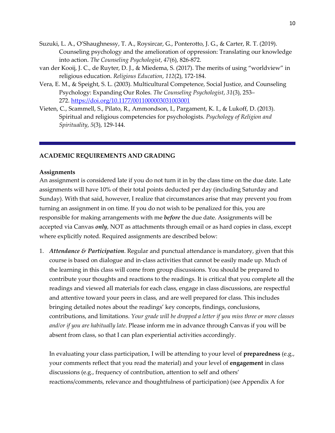- Suzuki, L. A., O'Shaughnessy, T. A., Roysircar, G., Ponterotto, J. G., & Carter, R. T. (2019). Counseling psychology and the amelioration of oppression: Translating our knowledge into action. *The Counseling Psychologist*, *47*(6), 826-872.
- van der Kooij, J. C., de Ruyter, D. J., & Miedema, S. (2017). The merits of using "worldview" in religious education. *Religious Education*, *112*(2), 172-184.
- Vera, E. M., & Speight, S. L. (2003). Multicultural Competence, Social Justice, and Counseling Psychology: Expanding Our Roles. *The Counseling Psychologist*, *31*(3), 253– 272. <https://doi.org/10.1177/0011000003031003001>
- Vieten, C., Scammell, S., Pilato, R., Ammondson, I., Pargament, K. I., & Lukoff, D. (2013). Spiritual and religious competencies for psychologists. *Psychology of Religion and Spirituality*, *5*(3), 129-144.

#### **ACADEMIC REQUIREMENTS AND GRADING**

#### **Assignments**

An assignment is considered late if you do not turn it in by the class time on the due date. Late assignments will have 10% of their total points deducted per day (including Saturday and Sunday). With that said, however, I realize that circumstances arise that may prevent you from turning an assignment in on time. If you do not wish to be penalized for this, you are responsible for making arrangements with me *before* the due date. Assignments will be accepted via Canvas *only*, NOT as attachments through email or as hard copies in class, except where explicitly noted. Required assignments are described below:

1. *Attendance & Participation*. Regular and punctual attendance is mandatory, given that this course is based on dialogue and in-class activities that cannot be easily made up. Much of the learning in this class will come from group discussions. You should be prepared to contribute your thoughts and reactions to the readings. It is critical that you complete all the readings and viewed all materials for each class, engage in class discussions, are respectful and attentive toward your peers in class, and are well prepared for class. This includes bringing detailed notes about the readings' key concepts, findings, conclusions, contributions, and limitations. *Your grade will be dropped a letter if you miss three or more classes and/or if you are habitually late*. Please inform me in advance through Canvas if you will be absent from class, so that I can plan experiential activities accordingly.

In evaluating your class participation, I will be attending to your level of **preparedness** (e.g., your comments reflect that you read the material) and your level of **engagement** in class discussions (e.g., frequency of contribution, attention to self and others' reactions/comments, relevance and thoughtfulness of participation) (see Appendix A for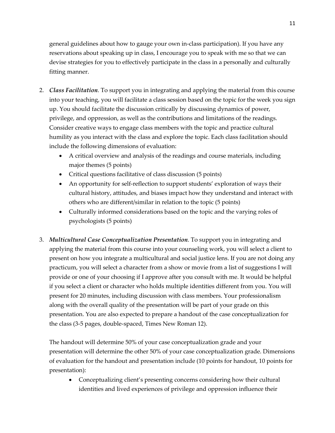general guidelines about how to gauge your own in-class participation). If you have any reservations about speaking up in class, I encourage you to speak with me so that we can devise strategies for you to effectively participate in the class in a personally and culturally fitting manner.

- 2. *Class Facilitation*. To support you in integrating and applying the material from this course into your teaching, you will facilitate a class session based on the topic for the week you sign up. You should facilitate the discussion critically by discussing dynamics of power, privilege, and oppression, as well as the contributions and limitations of the readings. Consider creative ways to engage class members with the topic and practice cultural humility as you interact with the class and explore the topic. Each class facilitation should include the following dimensions of evaluation:
	- A critical overview and analysis of the readings and course materials, including major themes (5 points)
	- Critical questions facilitative of class discussion (5 points)
	- An opportunity for self-reflection to support students' exploration of ways their cultural history, attitudes, and biases impact how they understand and interact with others who are different/similar in relation to the topic (5 points)
	- Culturally informed considerations based on the topic and the varying roles of psychologists (5 points)
- 3. *Multicultural Case Conceptualization Presentation*. To support you in integrating and applying the material from this course into your counseling work, you will select a client to present on how you integrate a multicultural and social justice lens. If you are not doing any practicum, you will select a character from a show or movie from a list of suggestions I will provide or one of your choosing if I approve after you consult with me. It would be helpful if you select a client or character who holds multiple identities different from you. You will present for 20 minutes, including discussion with class members. Your professionalism along with the overall quality of the presentation will be part of your grade on this presentation. You are also expected to prepare a handout of the case conceptualization for the class (3-5 pages, double-spaced, Times New Roman 12).

The handout will determine 50% of your case conceptualization grade and your presentation will determine the other 50% of your case conceptualization grade. Dimensions of evaluation for the handout and presentation include (10 points for handout, 10 points for presentation):

• Conceptualizing client's presenting concerns considering how their cultural identities and lived experiences of privilege and oppression influence their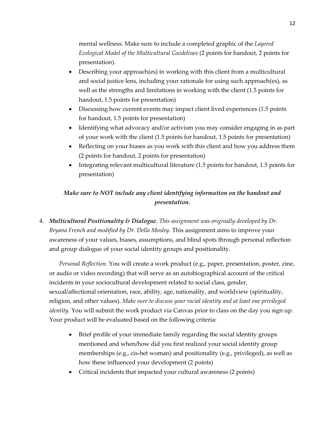mental wellness. Make sure to include a completed graphic of the *Layered Ecological Model of the Multicultural Guidelines* (2 points for handout, 2 points for presentation).

- Describing your approach(es) in working with this client from a multicultural and social justice lens, including your rationale for using such approach(es), as well as the strengths and limitations in working with the client (1.5 points for handout, 1.5 points for presentation)
- Discussing how current events may impact client lived experiences (1.5 points for handout, 1.5 points for presentation)
- Identifying what advocacy and/or activism you may consider engaging in as part of your work with the client (1.5 points for handout, 1.5 points for presentation)
- Reflecting on your biases as you work with this client and how you address them (2 points for handout, 2 points for presentation)
- Integrating relevant multicultural literature (1.5 points for handout, 1.5 points for presentation)

# *Make sure to NOT include any client identifying information on the handout and presentation.*

4. *Multicultural Positionality & Dialogue*. *This assignment was originally developed by Dr. Bryana French and modified by Dr. Della Mosley*. This assignment aims to improve your awareness of your values, biases, assumptions, and blind spots through personal reflection and group dialogue of your social identity groups and positionality.

*Personal Reflection.* You will create a work product (e.g., paper, presentation, poster, zine, or audio or video recording) that will serve as an autobiographical account of the critical incidents in your sociocultural development related to social class, gender, sexual/affectional orientation, race, ability, age, nationality, and worldview (spirituality, religion, and other values). *Make sure to discuss your racial identity and at least one privileged identity*. You will submit the work product via Canvas prior to class on the day you sign up. Your product will be evaluated based on the following criteria:

- Brief profile of your immediate family regarding the social identity groups mentioned and when/how did you first realized your social identity group memberships (e.g., cis-het woman) and positionality (e.g., privileged), as well as how these influenced your development (2 points)
- Critical incidents that impacted your cultural awareness (2 points)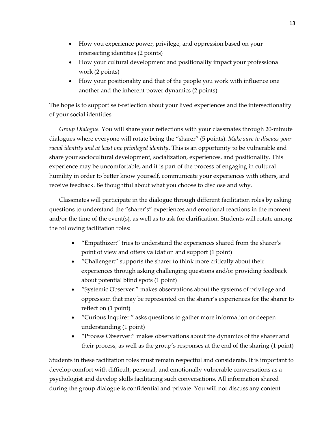- How you experience power, privilege, and oppression based on your intersecting identities (2 points)
- How your cultural development and positionality impact your professional work (2 points)
- How your positionality and that of the people you work with influence one another and the inherent power dynamics (2 points)

The hope is to support self-reflection about your lived experiences and the intersectionality of your social identities.

*Group Dialogue.* You will share your reflections with your classmates through 20-minute dialogues where everyone will rotate being the "sharer" (5 points). *Make sure to discuss your racial identity and at least one privileged identity*. This is an opportunity to be vulnerable and share your sociocultural development, socialization, experiences, and positionality. This experience may be uncomfortable, and it is part of the process of engaging in cultural humility in order to better know yourself, communicate your experiences with others, and receive feedback. Be thoughtful about what you choose to disclose and why.

Classmates will participate in the dialogue through different facilitation roles by asking questions to understand the "sharer's" experiences and emotional reactions in the moment and/or the time of the event(s), as well as to ask for clarification. Students will rotate among the following facilitation roles:

- "Empathizer:" tries to understand the experiences shared from the sharer's point of view and offers validation and support (1 point)
- "Challenger:" supports the sharer to think more critically about their experiences through asking challenging questions and/or providing feedback about potential blind spots (1 point)
- "Systemic Observer:" makes observations about the systems of privilege and oppression that may be represented on the sharer's experiences for the sharer to reflect on (1 point)
- "Curious Inquirer:" asks questions to gather more information or deepen understanding (1 point)
- "Process Observer:" makes observations about the dynamics of the sharer and their process, as well as the group's responses at the end of the sharing (1 point)

Students in these facilitation roles must remain respectful and considerate. It is important to develop comfort with difficult, personal, and emotionally vulnerable conversations as a psychologist and develop skills facilitating such conversations. All information shared during the group dialogue is confidential and private. You will not discuss any content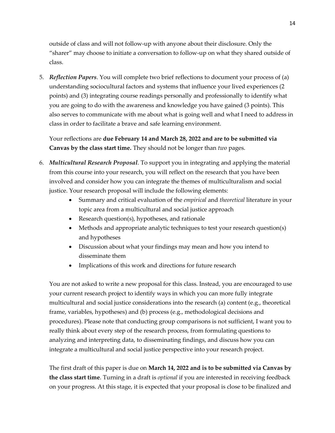outside of class and will not follow-up with anyone about their disclosure. Only the "sharer" may choose to initiate a conversation to follow-up on what they shared outside of class.

5. *Reflection Papers*. You will complete two brief reflections to document your process of (a) understanding sociocultural factors and systems that influence your lived experiences (2 points) and (3) integrating course readings personally and professionally to identify what you are going to do with the awareness and knowledge you have gained (3 points). This also serves to communicate with me about what is going well and what I need to address in class in order to facilitate a brave and safe learning environment.

Your reflections are **due February 14 and March 28, 2022 and are to be submitted via Canvas by the class start time.** They should not be longer than *two* pages.

- 6. *Multicultural Research Proposal*. To support you in integrating and applying the material from this course into your research, you will reflect on the research that you have been involved and consider how you can integrate the themes of multiculturalism and social justice. Your research proposal will include the following elements:
	- Summary and critical evaluation of the *empirical* and *theoretical* literature in your topic area from a multicultural and social justice approach
	- Research question(s), hypotheses, and rationale
	- Methods and appropriate analytic techniques to test your research question(s) and hypotheses
	- Discussion about what your findings may mean and how you intend to disseminate them
	- Implications of this work and directions for future research

You are not asked to write a new proposal for this class. Instead, you are encouraged to use your current research project to identify ways in which you can more fully integrate multicultural and social justice considerations into the research (a) content (e.g., theoretical frame, variables, hypotheses) and (b) process (e.g., methodological decisions and procedures). Please note that conducting group comparisons is not sufficient, I want you to really think about every step of the research process, from formulating questions to analyzing and interpreting data, to disseminating findings, and discuss how you can integrate a multicultural and social justice perspective into your research project.

The first draft of this paper is due on **March 14, 2022 and is to be submitted via Canvas by the class start time**. Turning in a draft is *optional* if you are interested in receiving feedback on your progress. At this stage, it is expected that your proposal is close to be finalized and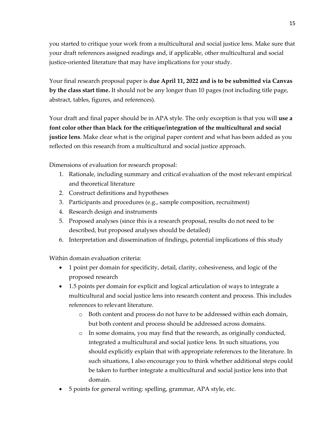you started to critique your work from a multicultural and social justice lens. Make sure that your draft references assigned readings and, if applicable, other multicultural and social justice-oriented literature that may have implications for your study.

Your final research proposal paper is **due April 11, 2022 and is to be submitted via Canvas by the class start time.** It should not be any longer than 10 pages (not including title page, abstract, tables, figures, and references).

Your draft and final paper should be in APA style. The only exception is that you will **use a font color other than black for the critique/integration of the multicultural and social justice lens**. Make clear what is the original paper content and what has been added as you reflected on this research from a multicultural and social justice approach.

Dimensions of evaluation for research proposal:

- 1. Rationale, including summary and critical evaluation of the most relevant empirical and theoretical literature
- 2. Construct definitions and hypotheses
- 3. Participants and procedures (e.g., sample composition, recruitment)
- 4. Research design and instruments
- 5. Proposed analyses (since this is a research proposal, results do not need to be described, but proposed analyses should be detailed)
- 6. Interpretation and dissemination of findings, potential implications of this study

Within domain evaluation criteria:

- 1 point per domain for specificity, detail, clarity, cohesiveness, and logic of the proposed research
- 1.5 points per domain for explicit and logical articulation of ways to integrate a multicultural and social justice lens into research content and process. This includes references to relevant literature.
	- o Both content and process do not have to be addressed within each domain, but both content and process should be addressed across domains.
	- o In some domains, you may find that the research, as originally conducted, integrated a multicultural and social justice lens. In such situations, you should explicitly explain that with appropriate references to the literature. In such situations, I also encourage you to think whether additional steps could be taken to further integrate a multicultural and social justice lens into that domain.
- 5 points for general writing: spelling, grammar, APA style, etc.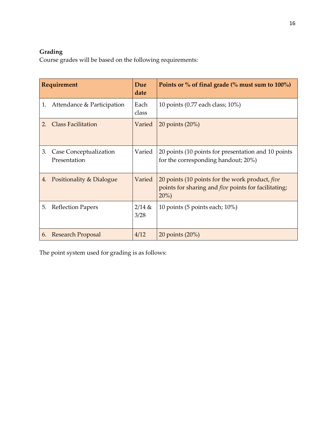# **Grading**

Course grades will be based on the following requirements:

|    | Requirement                            | Due<br>date      | Points or $\%$ of final grade ( $\%$ must sum to 100%)                                                                    |
|----|----------------------------------------|------------------|---------------------------------------------------------------------------------------------------------------------------|
| 1. | Attendance & Participation             | Each<br>class    | 10 points (0.77 each class; 10%)                                                                                          |
| 2. | <b>Class Facilitation</b>              | Varied           | $20$ points $(20\%)$                                                                                                      |
| 3. | Case Conceptualization<br>Presentation | Varied           | 20 points (10 points for presentation and 10 points<br>for the corresponding handout; 20%)                                |
| 4. | Positionality & Dialogue               | Varied           | 20 points (10 points for the work product, five<br>points for sharing and <i>five</i> points for facilitating;<br>$20\%)$ |
| 5. | <b>Reflection Papers</b>               | $2/14$ &<br>3/28 | 10 points (5 points each; 10%)                                                                                            |
| 6. | <b>Research Proposal</b>               | 4/12             | 20 points (20%)                                                                                                           |

The point system used for grading is as follows: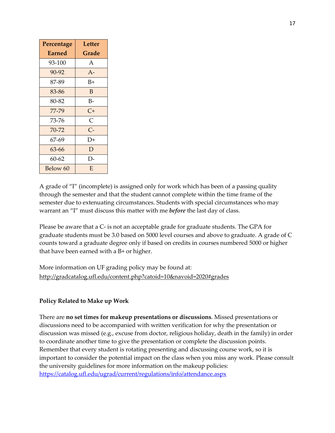| Percentage    | Letter |  |
|---------------|--------|--|
| <b>Earned</b> | Grade  |  |
| 93-100        | A      |  |
| $90 - 92$     | $A -$  |  |
| 87-89         | $B+$   |  |
| 83-86         | B      |  |
| 80-82         | B-     |  |
| 77-79         | $C+$   |  |
| 73-76         | C      |  |
| 70-72         | $C-$   |  |
| 67-69         | D+     |  |
| 63-66         | D      |  |
| 60-62         | D-     |  |
| Below 60      | F.     |  |

A grade of "I" (incomplete) is assigned only for work which has been of a passing quality through the semester and that the student cannot complete within the time frame of the semester due to extenuating circumstances. Students with special circumstances who may warrant an "I" must discuss this matter with me *before* the last day of class.

Please be aware that a C- is not an acceptable grade for graduate students. The GPA for graduate students must be 3.0 based on 5000 level courses and above to graduate. A grade of C counts toward a graduate degree only if based on credits in courses numbered 5000 or higher that have been earned with a B+ or higher.

More information on UF grading policy may be found at: <http://gradcatalog.ufl.edu/content.php?catoid=10&navoid=2020#grades>

## **Policy Related to Make up Work**

There are **no set times for makeup presentations or discussions**. Missed presentations or discussions need to be accompanied with written verification for why the presentation or discussion was missed (e.g., excuse from doctor, religious holiday, death in the family) in order to coordinate another time to give the presentation or complete the discussion points. Remember that every student is rotating presenting and discussing course work, so it is important to consider the potential impact on the class when you miss any work. Please consult the university guidelines for more information on the makeup policies: <https://catalog.ufl.edu/ugrad/current/regulations/info/attendance.aspx>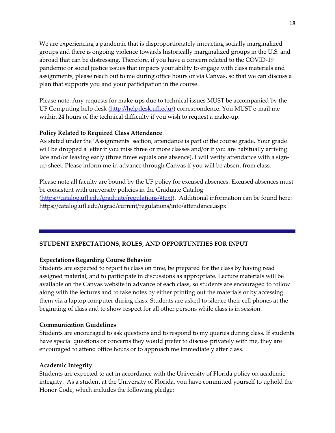We are experiencing a pandemic that is disproportionately impacting socially marginalized groups and there is ongoing violence towards historically marginalized groups in the U.S. and abroad that can be distressing. Therefore, if you have a concern related to the COVID-19 pandemic or social justice issues that impacts your ability to engage with class materials and assignments, please reach out to me during office hours or via Canvas, so that we can discuss a plan that supports you and your participation in the course.

Please note: Any requests for make-ups due to technical issues MUST be accompanied by the UF Computing help desk [\(http://helpdesk.ufl.edu/\)](http://helpdesk.ufl.edu/) correspondence. You MUST e-mail me within 24 hours of the technical difficulty if you wish to request a make-up.

### **Policy Related to Required Class Attendance**

As stated under the 'Assignments' section, attendance is part of the course grade. Your grade will be dropped a letter if you miss three or more classes and/or if you are habitually arriving late and/or leaving early (three times equals one absence). I will verify attendance with a signup sheet. Please inform me in advance through Canvas if you will be absent from class.

Please note all faculty are bound by the UF policy for excused absences. Excused absences must be consistent with university policies in the Graduate Catalog [\(https://catalog.ufl.edu/graduate/regulations/#text\)](https://catalog.ufl.edu/graduate/regulations/#text). Additional information can be found here: <https://catalog.ufl.edu/ugrad/current/regulations/info/attendance.aspx>

## **STUDENT EXPECTATIONS, ROLES, AND OPPORTUNITIES FOR INPUT**

## **Expectations Regarding Course Behavior**

Students are expected to report to class on time, be prepared for the class by having read assigned material, and to participate in discussions as appropriate. Lecture materials will be available on the Canvas website in advance of each class, so students are encouraged to follow along with the lectures and to take notes by either printing out the materials or by accessing them via a laptop computer during class. Students are asked to silence their cell phones at the beginning of class and to show respect for all other persons while class is in session.

### **Communication Guidelines**

Students are encouraged to ask questions and to respond to my queries during class. If students have special questions or concerns they would prefer to discuss privately with me, they are encouraged to attend office hours or to approach me immediately after class.

### **Academic Integrity**

Students are expected to act in accordance with the University of Florida policy on academic integrity. As a student at the University of Florida, you have committed yourself to uphold the Honor Code, which includes the following pledge: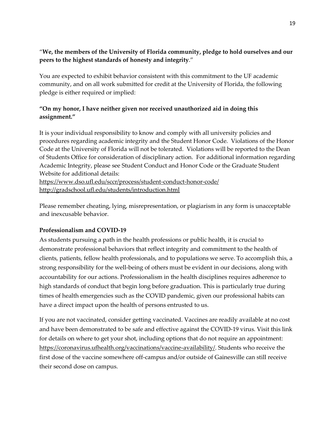# "**We, the members of the University of Florida community, pledge to hold ourselves and our peers to the highest standards of honesty and integrity**."

You are expected to exhibit behavior consistent with this commitment to the UF academic community, and on all work submitted for credit at the University of Florida, the following pledge is either required or implied:

# **"On my honor, I have neither given nor received unauthorized aid in doing this assignment."**

It is your individual responsibility to know and comply with all university policies and procedures regarding academic integrity and the Student Honor Code. Violations of the Honor Code at the University of Florida will not be tolerated. Violations will be reported to the Dean of Students Office for consideration of disciplinary action. For additional information regarding Academic Integrity, please see Student Conduct and Honor Code or the Graduate Student Website for additional details: <https://www.dso.ufl.edu/sccr/process/student-conduct-honor-code/>

<http://gradschool.ufl.edu/students/introduction.html>

Please remember cheating, lying, misrepresentation, or plagiarism in any form is unacceptable and inexcusable behavior.

## **Professionalism and COVID-19**

As students pursuing a path in the health professions or public health, it is crucial to demonstrate professional behaviors that reflect integrity and commitment to the health of clients, patients, fellow health professionals, and to populations we serve. To accomplish this, a strong responsibility for the well-being of others must be evident in our decisions, along with accountability for our actions. Professionalism in the health disciplines requires adherence to high standards of conduct that begin long before graduation. This is particularly true during times of health emergencies such as the COVID pandemic, given our professional habits can have a direct impact upon the health of persons entrusted to us.

If you are not vaccinated, consider getting vaccinated. Vaccines are readily available at no cost and have been demonstrated to be safe and effective against the COVID-19 virus. Visit this link for details on where to get your shot, including options that do not require an appointment: [https://coronavirus.ufhealth.org/vaccinations/vaccine-availability/.](https://coronavirus.ufhealth.org/vaccinations/vaccine-availability/) Students who receive the first dose of the vaccine somewhere off-campus and/or outside of Gainesville can still receive their second dose on campus.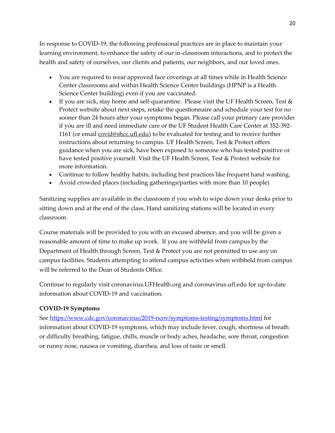In response to COVID-19, the following professional practices are in place to maintain your learning environment, to enhance the safety of our in-classroom interactions, and to protect the health and safety of ourselves, our clients and patients, our neighbors, and our loved ones.

- You are required to wear approved face coverings at all times while in Health Science Center classrooms and within Health Science Center buildings (HPNP is a Health Science Center building) even if you are vaccinated.
- If you are sick, stay home and self-quarantine. Please visit the UF Health Screen, Test  $\&$ Protect website about next steps, retake the questionnaire and schedule your test for no sooner than 24 hours after your symptoms began. Please call your primary care provider if you are ill and need immediate care or the UF Student Health Care Center at 352-392- 1161 (or email **covid@shcc.ufl.edu**) to be evaluated for testing and to receive further instructions about returning to campus. UF Health Screen, Test & Protect offers guidance when you are sick, have been exposed to someone who has tested positive or have tested positive yourself. Visit the UF Health Screen, Test & Protect website for more information.
- Continue to follow healthy habits, including best practices like frequent hand washing.
- Avoid crowded places (including gatherings/parties with more than 10 people)

Sanitizing supplies are available in the classroom if you wish to wipe down your desks prior to sitting down and at the end of the class. Hand sanitizing stations will be located in every classroom.

Course materials will be provided to you with an excused absence, and you will be given a reasonable amount of time to make up work. If you are withheld from campus by the Department of Health through Screen, Test & Protect you are not permitted to use any on campus facilities. Students attempting to attend campus activities when withheld from campus will be referred to the Dean of Students Office.

Continue to regularly visit coronavirus.UFHealth.org and coronavirus.ufl.edu for up-to-date information about COVID-19 and vaccination.

## **COVID-19 Symptoms**

See <https://www.cdc.gov/coronavirus/2019-ncov/symptoms-testing/symptoms.html> for information about COVID-19 symptoms, which may include fever, cough, shortness of breath or difficulty breathing, fatigue, chills, muscle or body aches, headache, sore throat, congestion or runny nose, nausea or vomiting, diarrhea, and loss of taste or smell.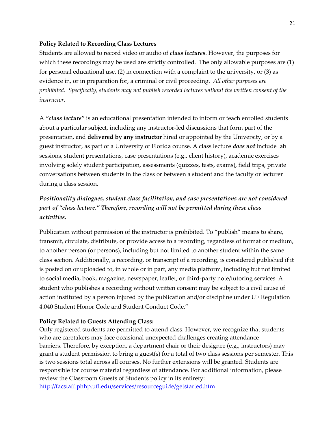### **Policy Related to Recording Class Lectures**

Students are allowed to record video or audio of *class lectures*. However, the purposes for which these recordings may be used are strictly controlled. The only allowable purposes are  $(1)$ for personal educational use, (2) in connection with a complaint to the university, or (3) as evidence in, or in preparation for, a criminal or civil proceeding. *All other purposes are prohibited. Specifically, students may not publish recorded lectures without the written consent of the instructor*.

A *"class lecture"* is an educational presentation intended to inform or teach enrolled students about a particular subject, including any instructor-led discussions that form part of the presentation, and **delivered by any instructor** hired or appointed by the University, or by a guest instructor, as part of a University of Florida course. A class lecture *does not* include lab sessions, student presentations, case presentations (e.g., client history), academic exercises involving solely student participation, assessments (quizzes, tests, exams), field trips, private conversations between students in the class or between a student and the faculty or lecturer during a class session.

# *Positionality dialogues, student class facilitation, and case presentations are not considered part of "class lecture." Therefore, recording will not be permitted during these class activities.*

Publication without permission of the instructor is prohibited. To "publish" means to share, transmit, circulate, distribute, or provide access to a recording, regardless of format or medium, to another person (or persons), including but not limited to another student within the same class section. Additionally, a recording, or transcript of a recording, is considered published if it is posted on or uploaded to, in whole or in part, any media platform, including but not limited to social media, book, magazine, newspaper, leaflet, or third-party note/tutoring services. A student who publishes a recording without written consent may be subject to a civil cause of action instituted by a person injured by the publication and/or discipline under UF Regulation 4.040 Student Honor Code and Student Conduct Code."

### **Policy Related to Guests Attending Class:**

Only registered students are permitted to attend class. However, we recognize that students who are caretakers may face occasional unexpected challenges creating attendance barriers. Therefore, by exception, a department chair or their designee (e.g., instructors) may grant a student permission to bring a guest(s) for a total of two class sessions per semester. This is two sessions total across all courses. No further extensions will be granted. Students are responsible for course material regardless of attendance. For additional information, please review the Classroom Guests of Students policy in its entirety: <http://facstaff.phhp.ufl.edu/services/resourceguide/getstarted.htm>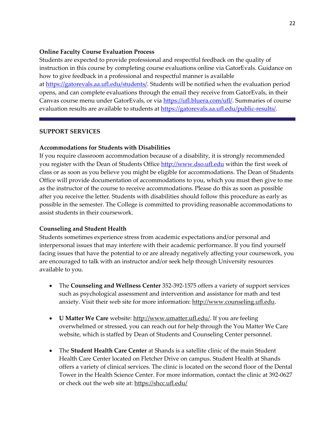### **Online Faculty Course Evaluation Process**

Students are expected to provide professional and respectful feedback on the quality of instruction in this course by completing course evaluations online via GatorEvals. Guidance on how to give feedback in a professional and respectful manner is available at [https://gatorevals.aa.ufl.edu/students/.](https://gatorevals.aa.ufl.edu/students/) Students will be notified when the evaluation period opens, and can complete evaluations through the email they receive from GatorEvals, in their Canvas course menu under GatorEvals, or via [https://ufl.bluera.com/ufl/.](https://urldefense.proofpoint.com/v2/url?u=https-3A__ufl.bluera.com_ufl_&d=DwMFAg&c=sJ6xIWYx-zLMB3EPkvcnVg&r=y2HjEMjRMHJhfdvLrqJZlYczRsfp5e4TfQjHuc5rVHg&m=WXko6OK_Ha6T00ZVAsEaSh99qRXHOgMNFRywCoehRho&s=itVU46DDJjnIg4CW6efJOOLgPjdzsPvCghyfzJoFONs&e=) Summaries of course evaluation results are available to students at [https://gatorevals.aa.ufl.edu/public-results/.](https://gatorevals.aa.ufl.edu/public-results/)

### **SUPPORT SERVICES**

### **Accommodations for Students with Disabilities**

If you require classroom accommodation because of a disability, it is strongly recommended you register with the Dean of Students Office [http://www.dso.ufl.edu](http://www.dso.ufl.edu/) within the first week of class or as soon as you believe you might be eligible for accommodations. The Dean of Students Office will provide documentation of accommodations to you, which you must then give to me as the instructor of the course to receive accommodations. Please do this as soon as possible after you receive the letter. Students with disabilities should follow this procedure as early as possible in the semester. The College is committed to providing reasonable accommodations to assist students in their coursework.

### **Counseling and Student Health**

Students sometimes experience stress from academic expectations and/or personal and interpersonal issues that may interfere with their academic performance. If you find yourself facing issues that have the potential to or are already negatively affecting your coursework, you are encouraged to talk with an instructor and/or seek help through University resources available to you.

- The **Counseling and Wellness Center** 352-392-1575 offers a variety of support services such as psychological assessment and intervention and assistance for math and test anxiety. Visit their web site for more information: [http://www.counseling.ufl.edu.](http://www.counseling.ufl.edu/)
- **U Matter We Care** website[: http://www.umatter.ufl.edu/.](http://www.umatter.ufl.edu/) If you are feeling overwhelmed or stressed, you can reach out for help through the You Matter We Care website, which is staffed by Dean of Students and Counseling Center personnel.
- The **Student Health Care Center** at Shands is a satellite clinic of the main Student Health Care Center located on Fletcher Drive on campus. Student Health at Shands offers a variety of clinical services. The clinic is located on the second floor of the Dental Tower in the Health Science Center. For more information, contact the clinic at 392-0627 or check out the web site at: <https://shcc.ufl.edu/>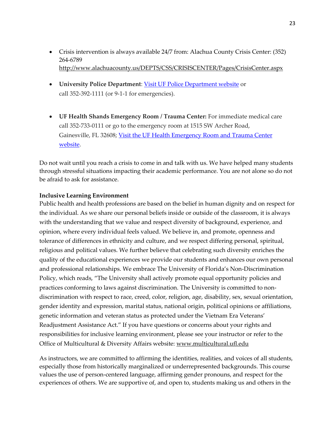- Crisis intervention is always available 24/7 from: Alachua County Crisis Center: (352) 264-6789 http://www.alachuacounty.us/DEPTS/CSS/CRISISCENTER/Pages/CrisisCenter.aspx
- **University Police Department**: Visit UF Police Department website or call 352-392-1111 (or 9-1-1 for emergencies).
- **UF Health Shands Emergency Room / Trauma Center:** For immediate medical care call 352-733-0111 or go to the emergency room at 1515 SW Archer Road, Gainesville, FL 32608; Visit the UF Health Emergency Room and Trauma Center website.

Do not wait until you reach a crisis to come in and talk with us. We have helped many students through stressful situations impacting their academic performance. You are not alone so do not be afraid to ask for assistance.

### **Inclusive Learning Environment**

Public health and health professions are based on the belief in human dignity and on respect for the individual. As we share our personal beliefs inside or outside of the classroom, it is always with the understanding that we value and respect diversity of background, experience, and opinion, where every individual feels valued. We believe in, and promote, openness and tolerance of differences in ethnicity and culture, and we respect differing personal, spiritual, religious and political values. We further believe that celebrating such diversity enriches the quality of the educational experiences we provide our students and enhances our own personal and professional relationships. We embrace The University of Florida's Non-Discrimination Policy, which reads, "The University shall actively promote equal opportunity policies and practices conforming to laws against discrimination. The University is committed to nondiscrimination with respect to race, creed, color, religion, age, disability, sex, sexual orientation, gender identity and expression, marital status, national origin, political opinions or affiliations, genetic information and veteran status as protected under the Vietnam Era Veterans' Readjustment Assistance Act." If you have questions or concerns about your rights and responsibilities for inclusive learning environment, please see your instructor or refer to the Office of Multicultural & Diversity Affairs website: www.multicultural.ufl.edu

As instructors, we are committed to affirming the identities, realities, and voices of all students, especially those from historically marginalized or underrepresented backgrounds. This course values the use of person-centered language, affirming gender pronouns, and respect for the experiences of others. We are supportive of, and open to, students making us and others in the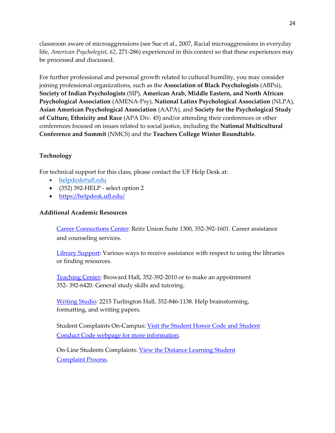classroom aware of microaggressions (see Sue et al., 2007, Racial microaggressions in everyday life, *American Psychologist*, *62*, 271-286) experienced in this context so that these experiences may be processed and discussed.

For further professional and personal growth related to cultural humility, you may consider joining professional organizations, such as the **Association of Black Psychologists** (ABPsi), **Society of Indian Psychologists** (SIP), **American Arab, Middle Eastern, and North African Psychological Association** (AMENA-Psy), **National Latinx Psychological Association** (NLPA), **Asian American Psychological Association** (AAPA), and **Society for the Psychological Study of Culture, Ethnicity and Race** (APA Div. 45) and/or attending their conferences or other conferences focused on issues related to social justice, including the **National Multicultural Conference and Summit** (NMCS) and the **Teachers College Winter Roundtable**.

### **Technology**

For technical support for this class, please contact the UF Help Desk at:

- helpdesk@ufl.edu
- (352) 392-HELP select option 2
- https://helpdesk.ufl.edu/

### **Additional Academic Resources**

Career Connections Center: Reitz Union Suite 1300, 352-392-1601. Career assistance and counseling services.

Library Support: Various ways to receive assistance with respect to using the libraries or finding resources.

Teaching Center: Broward Hall, 352-392-2010 or to make an appointment 352- 392-6420. General study skills and tutoring.

Writing Studio*:* 2215 Turlington Hall*,* 352-846-1138. Help brainstorming, formatting, and writing papers.

Student Complaints On-Campus: Visit the Student Honor Code and Student Conduct Code webpage for more information.

On-Line Students Complaints: <u>View the Distance Learning Student</u> Complaint Process.